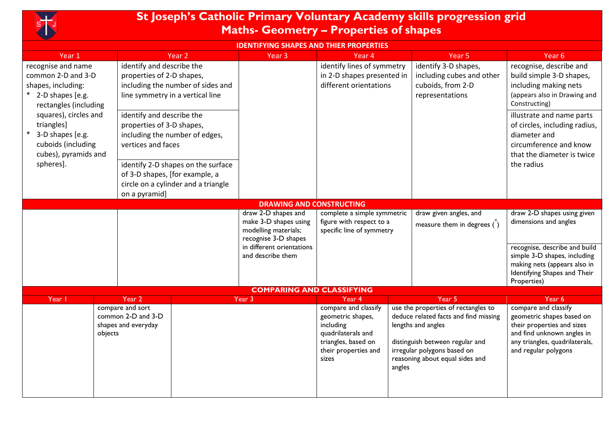

## **St Joseph's Catholic Primary Voluntary Academy skills progression grid Maths- Geometry – Properties of shapes**

## **IDENTIFYING SHAPES AND THIER PROPERTIES**

| Year 1                                                                                                                                             | Year <sub>2</sub>                                                                                                                                                                         |                                                | Year <sub>3</sub>                                                                                                                              | Year 4                                                                                                                                                                                                                      |  | Year <sub>5</sub>                                                                                                                                                                 | Year 6                                                                                                                                                                                      |  |  |
|----------------------------------------------------------------------------------------------------------------------------------------------------|-------------------------------------------------------------------------------------------------------------------------------------------------------------------------------------------|------------------------------------------------|------------------------------------------------------------------------------------------------------------------------------------------------|-----------------------------------------------------------------------------------------------------------------------------------------------------------------------------------------------------------------------------|--|-----------------------------------------------------------------------------------------------------------------------------------------------------------------------------------|---------------------------------------------------------------------------------------------------------------------------------------------------------------------------------------------|--|--|
| recognise and name<br>common 2-D and 3-D<br>shapes, including:<br>2-D shapes [e.g.<br>rectangles (including<br>squares), circles and<br>triangles] | identify and describe the<br>properties of 2-D shapes,<br>including the number of sides and<br>line symmetry in a vertical line<br>identify and describe the<br>properties of 3-D shapes, |                                                |                                                                                                                                                | identify lines of symmetry<br>in 2-D shapes presented in<br>different orientations                                                                                                                                          |  | identify 3-D shapes,<br>including cubes and other<br>cuboids, from 2-D<br>representations                                                                                         | recognise, describe and<br>build simple 3-D shapes,<br>including making nets<br>(appears also in Drawing and<br>Constructing)<br>illustrate and name parts<br>of circles, including radius, |  |  |
| 3-D shapes [e.g.<br>cuboids (including<br>cubes), pyramids and                                                                                     | including the number of edges,<br>vertices and faces                                                                                                                                      |                                                |                                                                                                                                                |                                                                                                                                                                                                                             |  |                                                                                                                                                                                   | diameter and<br>circumference and know<br>that the diameter is twice                                                                                                                        |  |  |
| spheres].                                                                                                                                          | identify 2-D shapes on the surface<br>of 3-D shapes, [for example, a<br>circle on a cylinder and a triangle<br>on a pyramid]                                                              |                                                |                                                                                                                                                |                                                                                                                                                                                                                             |  |                                                                                                                                                                                   | the radius                                                                                                                                                                                  |  |  |
| <b>DRAWING AND CONSTRUCTING</b>                                                                                                                    |                                                                                                                                                                                           |                                                |                                                                                                                                                |                                                                                                                                                                                                                             |  |                                                                                                                                                                                   |                                                                                                                                                                                             |  |  |
|                                                                                                                                                    |                                                                                                                                                                                           |                                                | draw 2-D shapes and<br>make 3-D shapes using<br>modelling materials;<br>recognise 3-D shapes                                                   | complete a simple symmetric<br>figure with respect to a<br>specific line of symmetry                                                                                                                                        |  | draw given angles, and<br>measure them in degrees $\ddot{\text{(}})$                                                                                                              | draw 2-D shapes using given<br>dimensions and angles                                                                                                                                        |  |  |
|                                                                                                                                                    |                                                                                                                                                                                           | in different orientations<br>and describe them |                                                                                                                                                |                                                                                                                                                                                                                             |  |                                                                                                                                                                                   | recognise, describe and build<br>simple 3-D shapes, including<br>making nets (appears also in<br>Identifying Shapes and Their<br>Properties)                                                |  |  |
|                                                                                                                                                    |                                                                                                                                                                                           |                                                | <b>COMPARING AND CLASSIFYING</b>                                                                                                               |                                                                                                                                                                                                                             |  |                                                                                                                                                                                   |                                                                                                                                                                                             |  |  |
| Year I<br>Year 2<br>compare and sort<br>common 2-D and 3-D<br>shapes and everyday<br>objects                                                       |                                                                                                                                                                                           | Year 3                                         | Year 4<br>compare and classify<br>geometric shapes,<br>including<br>quadrilaterals and<br>triangles, based on<br>their properties and<br>sizes | Year 5<br>use the properties of rectangles to<br>deduce related facts and find missing<br>lengths and angles<br>distinguish between regular and<br>irregular polygons based on<br>reasoning about equal sides and<br>angles |  | Year 6<br>compare and classify<br>geometric shapes based on<br>their properties and sizes<br>and find unknown angles in<br>any triangles, quadrilaterals,<br>and regular polygons |                                                                                                                                                                                             |  |  |